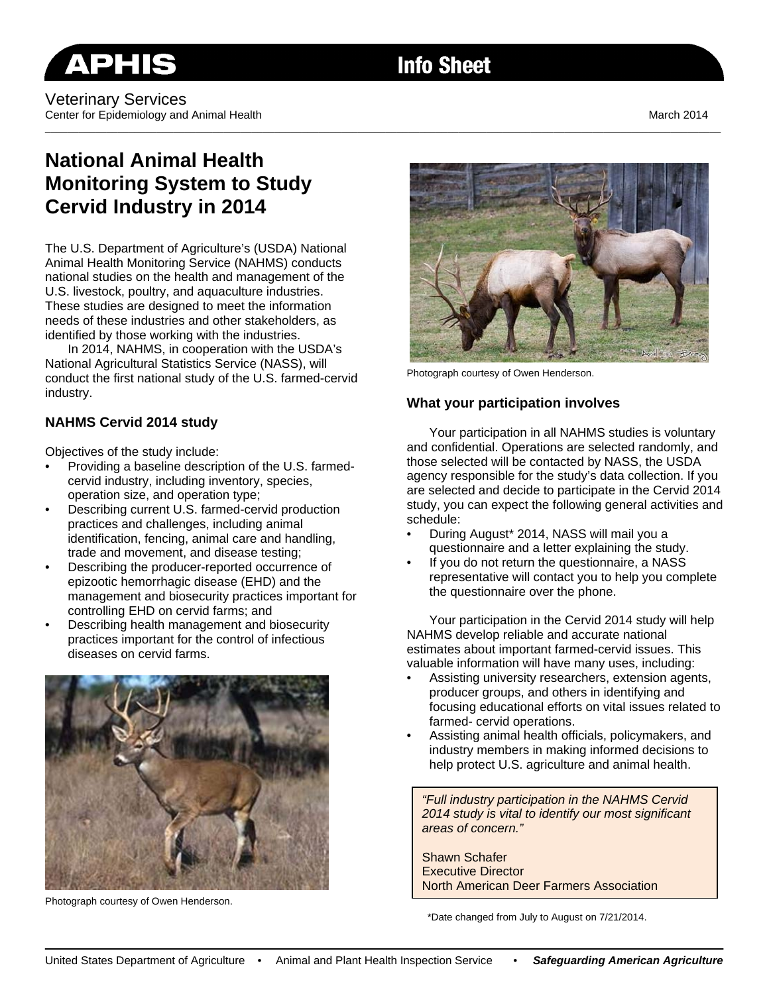# Veterinary Services Center for Epidemiology and Animal Health March 2014

**Info Sheet** 

\_\_\_\_\_\_\_\_\_\_\_\_\_\_\_\_\_\_\_\_\_\_\_\_\_\_\_\_\_\_\_\_\_\_\_\_\_\_\_\_\_\_\_\_\_\_\_\_\_\_\_\_\_\_\_\_\_\_\_\_\_\_\_\_\_\_\_\_\_\_\_\_\_\_\_\_\_\_\_\_\_\_\_\_\_\_\_\_\_\_\_\_\_\_\_\_\_\_\_\_\_\_\_\_\_\_\_\_\_\_\_\_\_\_\_\_\_\_\_\_\_

# **National Animal Health Monitoring System to Study Cervid Industry in 2014**

The U.S. Department of Agriculture's (USDA) National Animal Health Monitoring Service (NAHMS) conducts national studies on the health and management of the U.S. livestock, poultry, and aquaculture industries. These studies are designed to meet the information needs of these industries and other stakeholders, as identified by those working with the industries.

In 2014, NAHMS, in cooperation with the USDA's National Agricultural Statistics Service (NASS), will conduct the first national study of the U.S. farmed-cervid industry.

## **NAHMS Cervid 2014 study**

Objectives of the study include:

- Providing a baseline description of the U.S. farmedcervid industry, including inventory, species, operation size, and operation type;
- Describing current U.S. farmed-cervid production practices and challenges, including animal identification, fencing, animal care and handling, trade and movement, and disease testing;
- Describing the producer-reported occurrence of epizootic hemorrhagic disease (EHD) and the management and biosecurity practices important for controlling EHD on cervid farms; and
- Describing health management and biosecurity practices important for the control of infectious diseases on cervid farms.



Photograph courtesy of Owen Henderson.



Photograph courtesy of Owen Henderson.

#### **What your participation involves**

 Your participation in all NAHMS studies is voluntary and confidential. Operations are selected randomly, and those selected will be contacted by NASS, the USDA agency responsible for the study's data collection. If you are selected and decide to participate in the Cervid 2014 study, you can expect the following general activities and schedule:

- During August\* 2014, NASS will mail you a questionnaire and a letter explaining the study.
- If you do not return the questionnaire, a NASS representative will contact you to help you complete the questionnaire over the phone.

Your participation in the Cervid 2014 study will help NAHMS develop reliable and accurate national estimates about important farmed-cervid issues. This valuable information will have many uses, including:

- Assisting university researchers, extension agents, producer groups, and others in identifying and focusing educational efforts on vital issues related to farmed- cervid operations.
- Assisting animal health officials, policymakers, and industry members in making informed decisions to help protect U.S. agriculture and animal health.

*"Full industry participation in the NAHMS Cervid 2014 study is vital to identify our most significant areas of concern."* 

Shawn Schafer Executive Director North American Deer Farmers Association

\*Date changed from July to August on 7/21/2014.